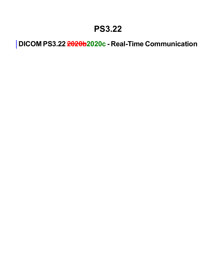### **PS3.22**

**DICOM PS3.22 2020b2020c - Real-Time Communication**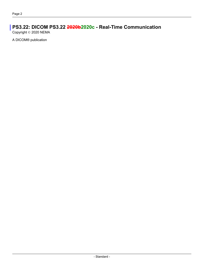### **PS3.22: DICOM PS3.22 2020b2020c - Real-Time Communication**

Copyright © 2020 NEMA

A DICOM® publication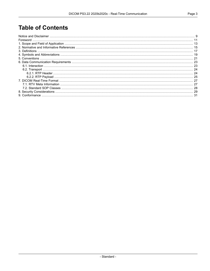#### **Table of Contents**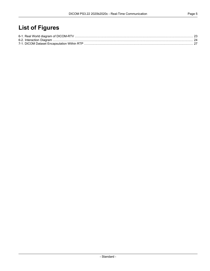### **List of Figures**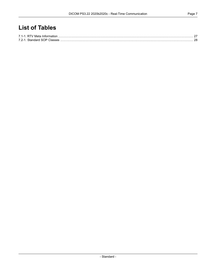#### **List of Tables**

| 7.2-1. Standard SOP Classes |  |
|-----------------------------|--|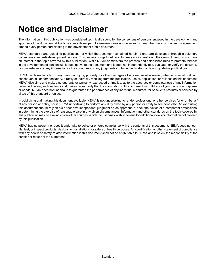### <span id="page-8-0"></span>**Notice and Disclaimer**

The information in this publication was considered technically sound by the consensus of persons engaged in the development and approval of the document at the time it was developed. Consensus does not necessarily mean that there is unanimous agreement among every person participating in the development of this document.

NEMA standards and guideline publications, of which the document contained herein is one, are developed through a voluntary consensus standards development process. This process brings together volunteers and/or seeks out the views of persons who have an interest in the topic covered by this publication. While NEMA administers the process and establishes rules to promote fairness in the development of consensus, it does not write the document and it does not independently test, evaluate, or verify the accuracy or completeness of any information or the soundness of any judgments contained in its standards and guideline publications.

NEMA disclaims liability for any personal injury, property, or other damages of any nature whatsoever, whether special, indirect, consequential, or compensatory, directly or indirectly resulting from the publication, use of, application, or reliance on this document. NEMA disclaims and makes no guaranty or warranty, expressed or implied, as to the accuracy or completeness of any information published herein, and disclaims and makes no warranty that the information in this document will fulfill any of your particular purposes or needs. NEMA does not undertake to guarantee the performance of any individual manufacturer or seller's products or services by virtue of this standard or guide.

In publishing and making this document available, NEMA is not undertaking to render professional or other services for or on behalf of any person or entity, nor is NEMA undertaking to perform any duty owed by any person or entity to someone else. Anyone using this document should rely on his or her own independent judgment or, as appropriate, seek the advice of a competent professional in determining the exercise of reasonable care in any given circumstances. Information and other standards on the topic covered by this publication may be available from other sources, which the user may wish to consult for additional views or information not covered by this publication.

NEMA has no power, nor does it undertake to police or enforce compliance with the contents of this document. NEMA does not cer tify, test, or inspect products, designs, or installations for safety or health purposes. Any certification or other statement of compliance with any health or safety-related information in this document shall not be attributable to NEMA and is solely the responsibility of the certifier or maker of the statement.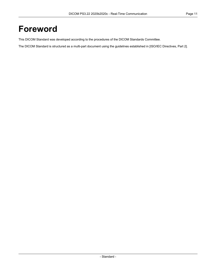### <span id="page-10-0"></span>**Foreword**

This DICOM Standard was developed according to the procedures of the DICOM Standards Committee.

The DICOM Standard is structured as a multi-part document using the guidelines established in [ISO/IEC [Directives,](#page-14-1) Part 2].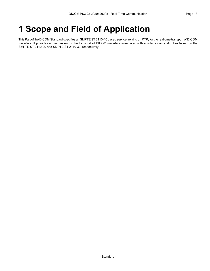# <span id="page-12-0"></span>**1 Scope and Field of Application**

This Part of the DICOM Standard specifies an SMPTE ST 2110-10 based service, relying on RTP, for the real-time transport of DICOM metadata. It provides a mechanism for the transport of DICOM metadata associated with a video or an audio flow based on the SMPTE ST 2110-20 and SMPTE ST 2110-30, respectively.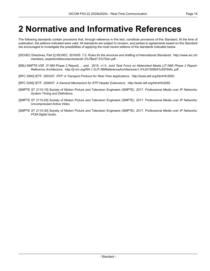### <span id="page-14-0"></span>**2 Normative and Informative References**

The following standards contain provisions that, through reference in this text, constitute provisions of this Standard. At the time of publication, the editions indicated were valid. All standards are subject to revision, and parties to agreements based on this Standard are encouraged to investigate the possibilities of applying the most recent editions of the standards indicated below.

- <span id="page-14-2"></span><span id="page-14-1"></span>[ISO/IEC Directives, Part 2] ISO/IEC. 2016/05. 7.0. *Rules for the structure and drafting of International Standards*. [http://www.iec.ch/](http://www.iec.ch/members_experts/refdocs/iec/isoiecdir-2%7Bed7.0%7Den.pdf) [members\\_experts/refdocs/iec/isoiecdir-2%7Bed7.0%7Den.pdf](http://www.iec.ch/members_experts/refdocs/iec/isoiecdir-2%7Bed7.0%7Den.pdf) .
- [EBU-SMPTE-VSF JT-NM Phase 2 Report] , , and . 2015. v1.0. *Joint Task Force on Networked Media (JT-NM) Phase 2 Report- Reference Architecture*. <http://jt-nm.org/RA-1.0/JT-NMReferenceArchitecturev1.0%20150904%20FINAL.pdf> .
- <span id="page-14-6"></span>[RFC 3550] IETF. 2003/07. *RTP: A Transport Protocol for Real-Time Applications*. <http://tools.ietf.org/html/rfc3550> .
- <span id="page-14-3"></span>[RFC 5285] IETF. 2008/07. *A General Mechanism for RTP Header Extensions*. <http://tools.ietf.org/html/rfc5285> .
- <span id="page-14-4"></span>[SMPTE ST 2110-10] Society of Motion Picture and Television Engineers (SMPTE). 2017. *Professional Media over IP Networks: System Timing and Definitions*.
- <span id="page-14-5"></span>[SMPTE ST 2110-20] Society of Motion Picture and Television Engineers (SMPTE). 2017. *Professional Media over IP Networks: Uncompressed Active Video*.
- [SMPTE ST 2110-30] Society of Motion Picture and Television Engineers (SMPTE). 2017. *Professional Media over IP Networks: PCM Digital Audio*.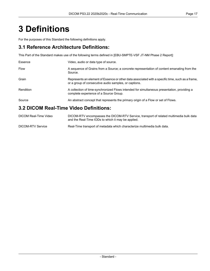# <span id="page-16-0"></span>**3 Definitions**

For the purposes of this Standard the following definitions apply.

#### **3.1 Reference Architecture Definitions:**

This Part of the Standard makes use of the following terms defined in [\[EBU-SMPTE-VSF](#page-14-2) JT-NM Phase 2 Report]:

| Essence                                | Video, audio or data type of source.                                                                                                                      |  |  |  |
|----------------------------------------|-----------------------------------------------------------------------------------------------------------------------------------------------------------|--|--|--|
| <b>Flow</b>                            | A sequence of Grains from a Source; a concrete representation of content emanating from the<br>Source.                                                    |  |  |  |
| Grain                                  | Represents an element of Essence or other data associated with a specific time, such as a frame,<br>or a group of consecutive audio samples, or captions. |  |  |  |
| Rendition                              | A collection of time-synchronized Flows intended for simultaneous presentation, providing a<br>complete experience of a Source Group.                     |  |  |  |
| Source                                 | An abstract concept that represents the primary origin of a Flow or set of Flows.                                                                         |  |  |  |
| 3.2 DICOM Real-Time Video Definitions: |                                                                                                                                                           |  |  |  |

#### DICOM Real-Time Video DICOM-RTV encompasses the DICOM-RTV Service, transport of related multimedia bulk data and the Real-Time IODs to which it may be applied. DICOM-RTV Service Real-Time transport of metadata which characterize multimedia bulk data.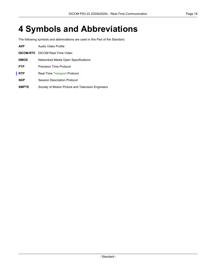# <span id="page-18-0"></span>**4 Symbols and Abbreviations**

The following symbols and abbreviations are used in this Part of the Standard.

| <b>AVP</b>   | Audio Video Profile                                |
|--------------|----------------------------------------------------|
| DICOM-RTV    | DICOM Real-Time Video                              |
| <b>NMOS</b>  | Networked Media Open Specifications                |
| <b>PTP</b>   | Precision Time Protocol                            |
| <b>RTP</b>   | Real-Time Transport Protocol                       |
| <b>SDP</b>   | Session Description Protocol                       |
| <b>SMPTE</b> | Society of Motion Picture and Television Engineers |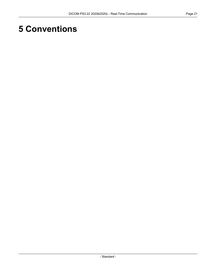# <span id="page-20-0"></span>**5 Conventions**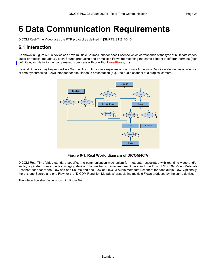# <span id="page-22-0"></span>**6 Data Communication Requirements**

<span id="page-22-1"></span>DICOM Real-Time Video uses the RTP protocol as defined in [SMPTE ST [2110-10\]](#page-14-3).

#### **6.1 Interaction**

As shown in [Figure](#page-22-2) 6-1, a device can have multiple Sources, one for each Essence which corresponds of the type of bulk data (video, audio or medical metadata), each Source producing one or multiple Flows representing the same content in different formats (high definition, low definition, uncompressed, compress with or without  $\frac{\text{loss4}}{\text{loss4}}$ loss, ...).

<span id="page-22-2"></span>Several Sources may be grouped in a Source Group. A concrete experience of a Source Group is a Rendition, defined as a collection of time-synchronized Flows intended for simultaneous presentation (e.g., the audio channel of a surgical camera).



**Figure 6-1. Real World diagram of DICOM-RTV**

DICOM Real-Time Video standard specifies the communication mechanism for metadata, associated with real-time video and/or audio, originated from a medical imaging device. The mechanism involves one Source and one Flow of "DICOM Video Metadata Essence" for each video Flow and one Source and one Flow of "DICOM Audio Metadata Essence" for each audio Flow. Optionally, there is one Source and one Flow for the "DICOM Rendition Metadata" associating multiple Flows produced by the same device.

The interaction shall be as shown in [Figure](#page-23-2) 6-2.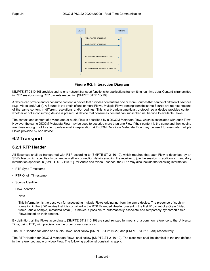<span id="page-23-2"></span>

**Figure 6-2. Interaction Diagram**

[SMPTE ST [2110-10\]](#page-14-3) provides end-to-end network transport functions for applications transmitting real-time data. Content is transmitted in RTP sessions using RTP packets respecting [SMPTE ST [2110-10\].](#page-14-3)

A device can provide and/or consume content. A device that provides content has one or more Sources that can be of different Essences (e.g., Video and Audio). A Source is the origin of one or more Flows. Multiple Flows coming from the same Source are representations of the same content in different resolutions and/or codings. This is a broadcast/multicast protocol, so a device provides content whether or not a consuming device is present. A device that consumes content can subscribe/unsubscribe to available Flows.

<span id="page-23-0"></span>The context and content of a video and/or audio Flow is described by a DICOM Metadata Flow, which is associated with each Flow. However the same DICOM Metadata Flow may be used to describe more than one Flow if their content is the same and their coding are close enough not to affect professional interpretation. A DICOM Rendition Metadata Flow may be used to associate multiple Flows provided by one device.

#### <span id="page-23-1"></span>**6.2 Transport**

#### **6.2.1 RTP Header**

All Essences shall be transported with RTP according to [SMPTE ST [2110-10\],](#page-14-3) which requires that each Flow is described by an SDP object which specifies its content as well as connection details enabling the receiver to join the session. In addition to mandatory information specified in [SMPTE ST [2110-10\],](#page-14-3) for Audio and Video Essence, the SDP may also include the following information:

- PTP Sync Timestamp
- PTP Origin Timestamp
- Source Identifier
- Flow Identifier

Note

This information is the best way for associating multiple Flows originating from the same device. The presence of such in formation in the SDP implies that it is contained in the RTP Extended Header present in the first IP packet of a Grain (video frame, audio sample, metadata setâ $\epsilon$ . It makes it possible to automatically associate and temporarily synchronize two Flows based on their content.

By definition, all the Flows according to [SMPTE ST [2110-10\]](#page-14-3) are synchronized by means of a common reference to the Universal Time, using PTP, with precision on the order of nanoseconds.

The RTP Header, for video and audio Flows, shall follow [SMPTE ST [2110-20\]](#page-14-4) and [SMPTE ST [2110-30\],](#page-14-5) respectively.

The RTP Header, for DICOM Metadata Flows, shall follow [SMPTE ST [2110-10\].](#page-14-3) The clock rate shall be identical to the one defined in the referenced audio or video Flow. The following additional constraints apply: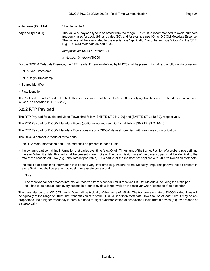**extension** (X) : **1 bit** Shall be set to 1.

**payload type (PT)** The value of payload type is selected from the range 96-127. It is recommended to avoid numbers frequently used for audio (97) and video (96), and for example use 104 for DICOM Metadata Essence. The value shall be associated to the media type "application" and the subtype "dicom" in the SDP. E.g., (DICOM Metadata on port 12345):

*m=application*12345 *RTP/AVP*104

*a=rtpmap:*104 *dicom/*90000

For the DICOM Metadata Essence, the RTP Header Extension defined by NMOS shall be present, including the following information:

- PTP Sync Timestamp
- PTP Origin Timestamp
- Source Identifier
- Flow Identifier

<span id="page-24-0"></span>The "defined by profile" part of the RTP Header Extension shall be set to 0xBEDE identifying that the one-byte header extension form is used, as specified in [RFC [5285\].](#page-14-6)

#### **6.2.2 RTP Payload**

The RTP Payload for audio and video Flows shall follow [SMPTE ST [2110-20\]](#page-14-4) and [SMPTE ST [2110-30\],](#page-14-5) respectively.

The RTP Payload for DICOM Metadata Flows (audio, video and rendition) shall follow [SMPTE ST [2110-10\]](#page-14-3).

The RTP Payload for DICOM Metadata Flows consists of a DICOM dataset compliant with real-time communication.

The DICOM dataset is made of three parts:

- the RTV Meta Information part. This part shall be present in each Grain.
- the dynamic part containing information that varies over time (e.g., Origin Timestamp of the frame, Position of a probe, circle defining the eye. When it exists, this part shall be present in each Grain. The transmission rate of the dynamic part shall be identical to the rate of the associated Flow (e.g., one dataset per frame). This part is for the moment not applicable to DICOM Rendition Metadata.
- the static part containing information that doesn't vary over time (e.g. Patient Name, Modality,  $\hat{a}\epsilon$ ). This part will not be present in every Grain but shall be present at least in one Grain per second.

**Note** 

The receiver cannot process information received from a sender until it receives DICOM Metadata including the static part, so it has to be sent at least every second in order to avoid a longer wait by the receiver when "connected" to a sender.

The transmission rate of DICOM audio flows will be typically of the range of 48kHz. The transmission rate of DICOM video flows will be typically of the range of 60Hz. The transmission rate of the DICOM Rendition Metadata Flow shall be at least 1Hz. It may be ap propriate to use a higher frequency if there is a need for tight synchronization of associated Flows from a device (e.g., two videos of a stereo pair).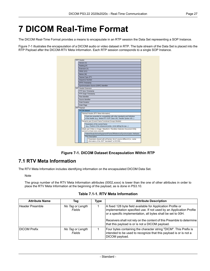## <span id="page-26-0"></span>**7 DICOM Real-Time Format**

The DICOM Real-Time Format provides a means to encapsulate in an RTP session the Data Set representing a SOP Instance.

<span id="page-26-2"></span>[Figure](#page-26-2) 7-1 illustrates the encapsulation of a DICOM audio or video dataset in RTP. The byte stream of the Data Set is placed into the RTP Payload after the DICOM-RTV Meta Information. Each RTP session corresponds to a single SOP Instance.

| <b>RTP Header</b> |                                                                                                                                                 |                                                                                                     |                                                                                                                            |  |  |  |  |
|-------------------|-------------------------------------------------------------------------------------------------------------------------------------------------|-----------------------------------------------------------------------------------------------------|----------------------------------------------------------------------------------------------------------------------------|--|--|--|--|
|                   | Version (V)                                                                                                                                     |                                                                                                     |                                                                                                                            |  |  |  |  |
|                   | Padding (P)                                                                                                                                     |                                                                                                     |                                                                                                                            |  |  |  |  |
|                   | Extension (X)                                                                                                                                   |                                                                                                     |                                                                                                                            |  |  |  |  |
|                   | CRSC (CC)                                                                                                                                       |                                                                                                     |                                                                                                                            |  |  |  |  |
|                   | Marker (M)                                                                                                                                      |                                                                                                     |                                                                                                                            |  |  |  |  |
|                   | Payload Type (PT)                                                                                                                               |                                                                                                     |                                                                                                                            |  |  |  |  |
|                   |                                                                                                                                                 |                                                                                                     | Sequence Number                                                                                                            |  |  |  |  |
|                   |                                                                                                                                                 |                                                                                                     | (RTP) Timestamp                                                                                                            |  |  |  |  |
|                   |                                                                                                                                                 |                                                                                                     | Synchronization Source (SSRC) Identifier                                                                                   |  |  |  |  |
|                   |                                                                                                                                                 |                                                                                                     | RTP Header Extension                                                                                                       |  |  |  |  |
|                   |                                                                                                                                                 |                                                                                                     | PTP Sync Timestamp                                                                                                         |  |  |  |  |
|                   |                                                                                                                                                 |                                                                                                     | PTP Origin Timestamp                                                                                                       |  |  |  |  |
|                   | Flow Identifier                                                                                                                                 |                                                                                                     |                                                                                                                            |  |  |  |  |
|                   | Source Identifier                                                                                                                               |                                                                                                     |                                                                                                                            |  |  |  |  |
|                   | <b>Grain Duration</b>                                                                                                                           |                                                                                                     |                                                                                                                            |  |  |  |  |
|                   | <b>Grain Flags</b>                                                                                                                              |                                                                                                     |                                                                                                                            |  |  |  |  |
| RTP Payload       |                                                                                                                                                 |                                                                                                     |                                                                                                                            |  |  |  |  |
|                   | DICOM dataset                                                                                                                                   |                                                                                                     |                                                                                                                            |  |  |  |  |
|                   |                                                                                                                                                 |                                                                                                     | Payload Header (RTV Meta Information)                                                                                      |  |  |  |  |
|                   | Fixed-size preamble for compatibility with other standards and Definition<br>of the header (e.g., Media RTV SOP Class UID, Transfer Syntax UID) |                                                                                                     |                                                                                                                            |  |  |  |  |
|                   | Dynamic part (Curent Frame Functional Groups Module)                                                                                            |                                                                                                     |                                                                                                                            |  |  |  |  |
|                   |                                                                                                                                                 | Parameters of the current frame<br>(e.g., Position of the ultrasound probe, circle definig the eye) |                                                                                                                            |  |  |  |  |
|                   |                                                                                                                                                 |                                                                                                     | [Static part (Video xx Image / Waveform / Rendition Selection Document IOD)]<br>(present at least every second)            |  |  |  |  |
|                   |                                                                                                                                                 | Patient/Study/Series/Equipment/FrameOfReference/Synchronization Attributes                          |                                                                                                                            |  |  |  |  |
|                   |                                                                                                                                                 | Flow Description                                                                                    |                                                                                                                            |  |  |  |  |
|                   |                                                                                                                                                 |                                                                                                     | Parameters shared with all frames: list of: source id/flow id (i.e., some<br>information of the SDP "translated" to DICOM) |  |  |  |  |

**Figure 7-1. DICOM Dataset Encapsulation Within RTP**

#### <span id="page-26-1"></span>**7.1 RTV Meta Information**

<span id="page-26-3"></span>The RTV Meta Information includes identifying information on the encapsulated DICOM Data Set.

Note

The group number of the RTV Meta Information attributes (0002,xxxx) is lower than the one of other attributes in order to place the RTV Meta Information at the beginning of the payload, as is done in [PS3.10.](part10.pdf#PS3.10)

**Table 7.1-1. RTV Meta Information**

| <b>Attribute Name</b> | Taq                        | Type | <b>Attribute Description</b>                                                                                                                                                                                                                                                                                                   |
|-----------------------|----------------------------|------|--------------------------------------------------------------------------------------------------------------------------------------------------------------------------------------------------------------------------------------------------------------------------------------------------------------------------------|
| Header Preamble       | No Tag or Length<br>Fields |      | A fixed 128 byte field available for Application Profile or<br>implementation specified use. If not used by an Application Profile<br>or a specific implementation, all bytes shall be set to 00H.<br>Receivers shall not rely on the content of this Preamble to determine<br>that this payload is or is not a DICOM payload. |
| <b>DICOM Prefix</b>   | No Tag or Length<br>Fields |      | Four bytes containing the character string "DICM". This Prefix is<br>intended to be used to recognize that this payload is or is not a<br>DICOM payload.                                                                                                                                                                       |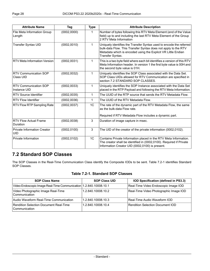| <b>Attribute Name</b>                            | Tag          | <b>Type</b>  | <b>Attribute Description</b>                                                                                                                                                                                               |  |
|--------------------------------------------------|--------------|--------------|----------------------------------------------------------------------------------------------------------------------------------------------------------------------------------------------------------------------------|--|
| File Meta Information Group<br>Length            | (0002, 0000) | $\mathbf{1}$ | Number of bytes following this RTV Meta Element (end of the Value<br>field) up to and including the last RTV Meta Element of the Group<br>2 RTV Meta Information                                                           |  |
| <b>Transfer Syntax UID</b>                       | (0002, 0010) | $\mathbf{1}$ | Uniquely identifies the Transfer Syntax used to encode the referred<br>bulk-data Flow. This Transfer Syntax does not apply to the RTV<br>Metadata which is encoded using the Explicit VR Little Endian<br>Transfer Syntax. |  |
| <b>RTV Meta Information Version</b>              | (0002, 0031) | $\mathbf{1}$ | This is a two byte field where each bit identifies a version of this RTV<br>Meta Information header. In version 1 the first byte value is 00H and<br>the second byte value is 01H.                                         |  |
| <b>RTV Communication SOP</b><br>Class UID        | (0002, 0032) | $\mathbf{1}$ | Uniquely identifies the SOP Class associated with the Data Set.<br>SOP Class UIDs allowed for RTV Communication are specified in<br>section 7.2 STANDARD SOP CLASSES.                                                      |  |
| <b>RTV Communication SOP</b><br>Instance UID     | (0002, 0033) | 1            | Uniquely identifies the SOP Instance associated with the Data Set<br>placed in the RTP Payload and following the RTV Meta Information.                                                                                     |  |
| <b>RTV Source Identifier</b>                     | (0002, 0035) | $\mathbf{1}$ | The UUID of the RTP source that sends the RTV Metadata Flow.                                                                                                                                                               |  |
| <b>RTV Flow Identifier</b>                       | (0002, 0036) | $\mathbf{1}$ | The UUID of the RTV Metadata Flow.                                                                                                                                                                                         |  |
| RTV Flow RTP Sampling Rate                       | (0002, 0037) | 1C           | The rate of the dynamic part of the RTV Metadata Flow, the same<br>as the bulk-data Flow rate.<br>Required if RTV Metadata Flow includes a dynamic part.                                                                   |  |
| <b>RTV Flow Actual Frame</b><br>Duration         | (0002, 0038) | 3            | Duration of image capture in msec.                                                                                                                                                                                         |  |
| <b>Private Information Creator</b><br><b>UID</b> | (0002, 0100) | 3            | The UID of the creator of the private information (0002,0102).                                                                                                                                                             |  |
| Private Information                              | (0002, 0102) | 1C           | Contains Private Information placed in the RTV Meta Information.<br>The creator shall be identified in (0002,0100). Required if Private<br>Information Creator UID (0002,0100) is present.                                 |  |

#### <span id="page-27-1"></span><span id="page-27-0"></span>**7.2 Standard SOP Classes**

The SOP Classes in the Real-Time Communication Class identify the Composite IODs to be sent. [Table](#page-27-1) 7.2-1 identifies Standard SOP Classes.

#### **Table 7.2-1. Standard SOP Classes**

| <b>SOP Class Name</b>                                               | <b>SOP Class UID</b> | IOD Specification (defined in PS3.3)   |
|---------------------------------------------------------------------|----------------------|----------------------------------------|
| Video Endoscopic Image Real-Time Communication   1.2.840.10008.10.1 |                      | Real-Time Video Endoscopic Image IOD   |
| Video Photographic Image Real-Time<br>Communication                 | 1.2.840.10008.10.2   | Real-Time Video Photographic Image IOD |
| Audio Waveform Real-Time Communication                              | 1.2.840.10008.10.3   | Real-Time Audio Waveform IOD           |
| Rendition Selection Document Real-Time<br>l Communication           | 1.2.840.10008.10.4   | Rendition Selection Document IOD       |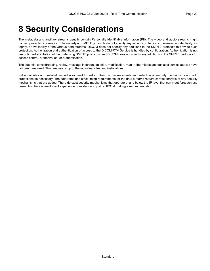## <span id="page-28-0"></span>**8 Security Considerations**

The metadata and ancillary streams usually contain Personally Identifiable Information (PII). The video and audio streams might contain protected information. The underlying SMPTE protocols do not specify any security protections to ensure confidentiality, in tegrity, or availability of the various data streams. DICOM does not specify any additions to the SMPTE protocols to provide such protection. Authorization and authentication of access to the DICOM-RTV Service is handled by configuration. Authentication is not re-confirmed at initiation of the underlying SMPTE protocols, and DICOM does not specify any additions to the SMPTE protocols for access control, authorization, or authentication.

The potential eavesdropping, replay, message insertion, deletion, modification, man-in-the-middle and denial of service attacks have not been analyzed. That analysis is up to the individual sites and installations.

Individual sites and installations will also need to perform their own assessments and selection of security mechanisms and add protections as necessary. The data rates and strict timing requirements for the data streams require careful analysis of any security mechanisms that are added. There do exist security mechanisms that operate at and below the IP level that can meet foreseen use cases, but there is insufficient experience or evidence to justify DICOM making a recommendation.